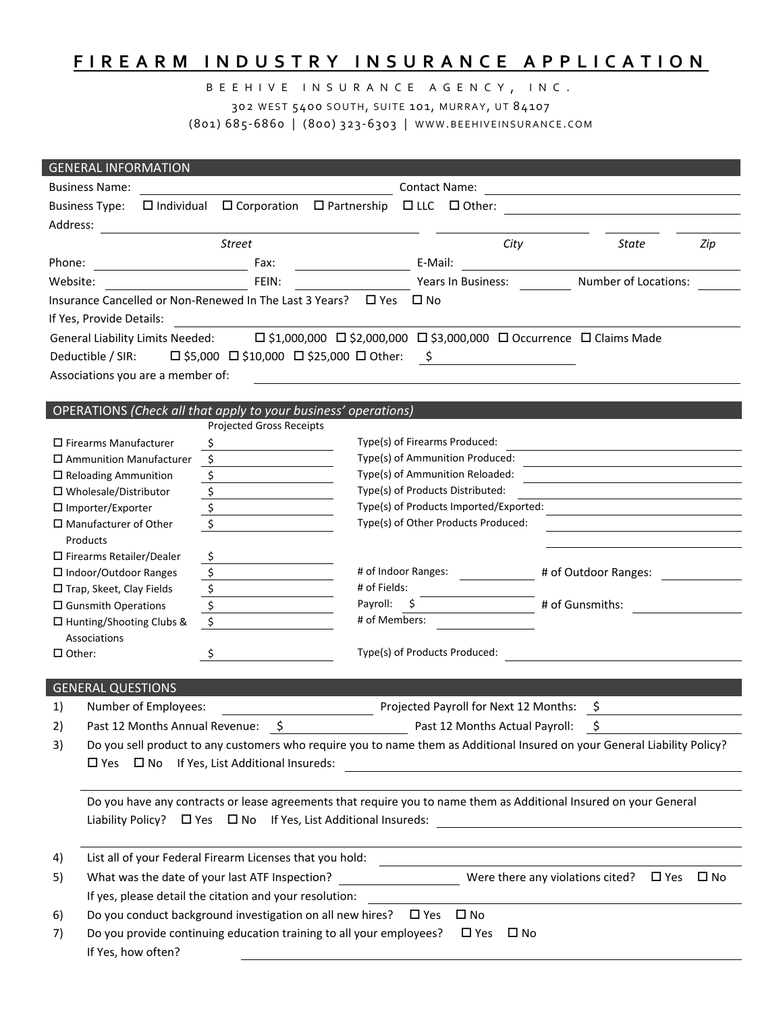# **FIREARM INDUSTRY INSURANCE APPLICATION**

BEEHIVE INSURANCE AGENCY, INC. 302 WEST 5400 SOUTH, SUITE 101, MURRAY, UT 84107 (801) 685‐6860 | (800) 323‐6303 | WWW.BEEHIVEINSURANCE.COM

| <b>GENERAL INFORMATION</b>                              |                   |                    |                                                                                               |              |                      |      |                      |     |
|---------------------------------------------------------|-------------------|--------------------|-----------------------------------------------------------------------------------------------|--------------|----------------------|------|----------------------|-----|
| <b>Business Name:</b>                                   |                   |                    |                                                                                               |              | <b>Contact Name:</b> |      |                      |     |
| <b>Business Type:</b>                                   | $\Box$ Individual | $\Box$ Corporation | $\Box$ Partnership                                                                            | □ LLC        | □ Other:             |      |                      |     |
| Address:                                                |                   |                    |                                                                                               |              |                      |      |                      |     |
|                                                         |                   | <b>Street</b>      |                                                                                               |              |                      | City | <b>State</b>         | Zip |
| Phone:                                                  |                   | Fax:               |                                                                                               | E-Mail:      |                      |      |                      |     |
| Website:                                                |                   | FEIN:              |                                                                                               |              | Years In Business:   |      | Number of Locations: |     |
| Insurance Cancelled or Non-Renewed In The Last 3 Years? |                   |                    | $\square$ Yes                                                                                 | $\square$ No |                      |      |                      |     |
| If Yes, Provide Details:                                |                   |                    |                                                                                               |              |                      |      |                      |     |
| <b>General Liability Limits Needed:</b>                 |                   |                    | $\Box$ \$1,000,000 $\Box$ \$2,000,000 $\Box$ \$3,000,000 $\Box$ Occurrence $\Box$ Claims Made |              |                      |      |                      |     |
| Deductible / SIR:                                       |                   |                    | $\square$ \$5,000 $\square$ \$10,000 $\square$ \$25,000 $\square$ Other:                      |              |                      |      |                      |     |
| Associations you are a member of:                       |                   |                    |                                                                                               |              |                      |      |                      |     |
|                                                         |                   |                    |                                                                                               |              |                      |      |                      |     |

## OPERATIONS *(Check all that apply to your business' operations)*

|                                 | <b>Projected Gross Receipts</b> |                                        |                      |
|---------------------------------|---------------------------------|----------------------------------------|----------------------|
| $\Box$ Firearms Manufacturer    |                                 | Type(s) of Firearms Produced:          |                      |
| $\Box$ Ammunition Manufacturer  | S                               | Type(s) of Ammunition Produced:        |                      |
| $\Box$ Reloading Ammunition     |                                 | Type(s) of Ammunition Reloaded:        |                      |
| $\Box$ Wholesale/Distributor    |                                 | Type(s) of Products Distributed:       |                      |
| $\Box$ Importer/Exporter        |                                 | Type(s) of Products Imported/Exported: |                      |
| $\Box$ Manufacturer of Other    |                                 | Type(s) of Other Products Produced:    |                      |
| Products                        |                                 |                                        |                      |
| $\Box$ Firearms Retailer/Dealer | S                               |                                        |                      |
| $\Box$ Indoor/Outdoor Ranges    |                                 | # of Indoor Ranges:                    | # of Outdoor Ranges: |
| $\Box$ Trap, Skeet, Clay Fields |                                 | # of Fields:                           |                      |
| $\Box$ Gunsmith Operations      |                                 | Payroll:                               | # of Gunsmiths:      |
| $\Box$ Hunting/Shooting Clubs & |                                 | # of Members:                          |                      |
| Associations                    |                                 |                                        |                      |
| $\Box$ Other:                   |                                 | Type(s) of Products Produced:          |                      |
|                                 |                                 |                                        |                      |
| <b>GENERAL QUESTIONS</b>        |                                 |                                        |                      |
| Number of Employees:<br>1)      |                                 | Projected Payroll for Next 12 Months:  | S                    |

| Past 12 Months Annual Revenue: \$ | Past 12 Months Actual Payroll: \$                                                                                         |  |
|-----------------------------------|---------------------------------------------------------------------------------------------------------------------------|--|
|                                   | Do you sell product to any customers who require you to name them as Additional Insured on your General Liability Policy? |  |

| $\square$ Yes |  | $\Box$ No If Yes, List Additional Insureds: |  |
|---------------|--|---------------------------------------------|--|
|---------------|--|---------------------------------------------|--|

Do you have any contracts or lease agreements that require you to name them as Additional Insured on your General Liability Policy? □ Yes □ No If Yes, List Additional Insureds:

| 4) | List all of your Federal Firearm Licenses that you hold:                                 |                                                       |  |  |
|----|------------------------------------------------------------------------------------------|-------------------------------------------------------|--|--|
| 5) | What was the date of your last ATF Inspection?                                           | Were there any violations cited? $\Box$ Yes $\Box$ No |  |  |
|    | If yes, please detail the citation and your resolution:                                  |                                                       |  |  |
| 6) | Do you conduct background investigation on all new hires? $\Box$ Yes $\Box$ No           |                                                       |  |  |
| 7) | Do you provide continuing education training to all your employees? $\Box$ Yes $\Box$ No |                                                       |  |  |
|    | If Yes, how often?                                                                       |                                                       |  |  |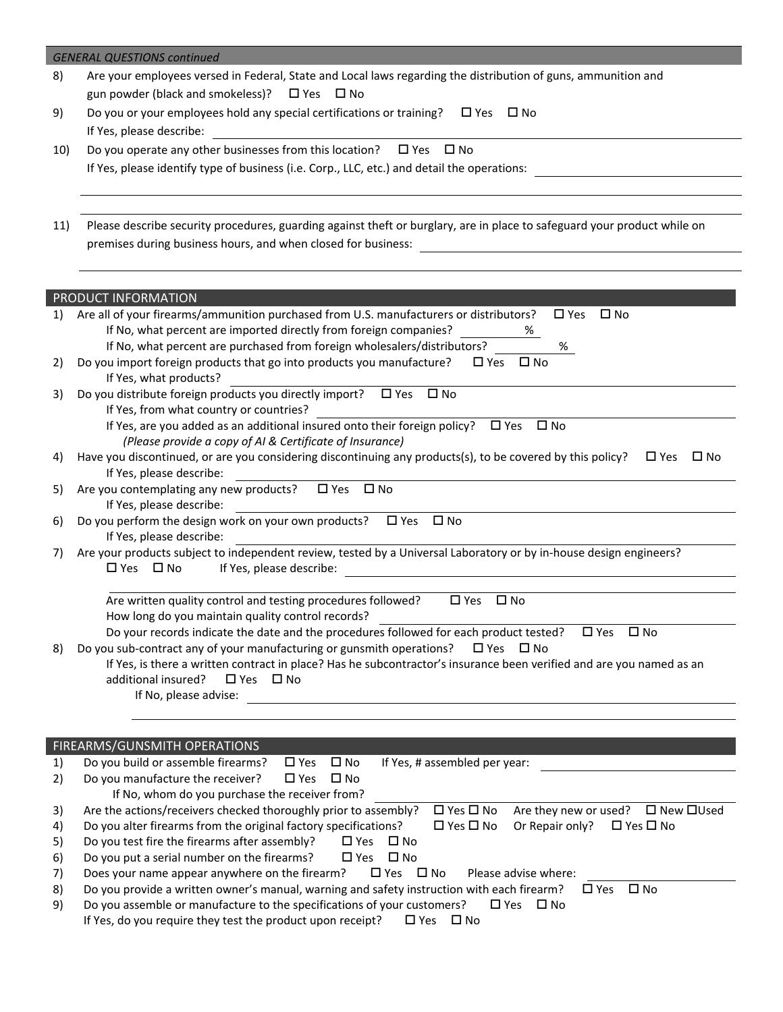|     | <b>GENERAL QUESTIONS continued</b>                                                                            |  |  |  |  |  |
|-----|---------------------------------------------------------------------------------------------------------------|--|--|--|--|--|
| 8)  | Are your employees versed in Federal, State and Local laws regarding the distribution of guns, ammunition and |  |  |  |  |  |
|     | gun powder (black and smokeless)? $\Box$ Yes $\Box$ No                                                        |  |  |  |  |  |
| 9)  | Do you or your employees hold any special certifications or training?<br>□ Yes □ No                           |  |  |  |  |  |
|     | If Yes, please describe:                                                                                      |  |  |  |  |  |
| 10) | Do you operate any other businesses from this location? $\Box$ Yes $\Box$ No                                  |  |  |  |  |  |
|     | If Yes, please identify type of business (i.e. Corp., LLC, etc.) and detail the operations:                   |  |  |  |  |  |
|     |                                                                                                               |  |  |  |  |  |
|     |                                                                                                               |  |  |  |  |  |

11) Please describe security procedures, guarding against theft or burglary, are in place to safeguard your product while on premises during business hours, and when closed for business:

|    | PRODUCT INFORMATION                                                                                                                                            |  |  |  |  |  |
|----|----------------------------------------------------------------------------------------------------------------------------------------------------------------|--|--|--|--|--|
| 1) | Are all of your firearms/ammunition purchased from U.S. manufacturers or distributors?<br>$\square$ Yes<br>□ No                                                |  |  |  |  |  |
|    | If No, what percent are imported directly from foreign companies?<br>%                                                                                         |  |  |  |  |  |
|    | If No, what percent are purchased from foreign wholesalers/distributors?<br>%                                                                                  |  |  |  |  |  |
| 2) | Do you import foreign products that go into products you manufacture?<br>$\square$ Yes<br>$\square$ No                                                         |  |  |  |  |  |
|    | If Yes, what products?                                                                                                                                         |  |  |  |  |  |
| 3) | Do you distribute foreign products you directly import?<br>$\square$ Yes<br>$\square$ No                                                                       |  |  |  |  |  |
|    | If Yes, from what country or countries?                                                                                                                        |  |  |  |  |  |
|    | If Yes, are you added as an additional insured onto their foreign policy? $\Box$ Yes<br>$\square$ No                                                           |  |  |  |  |  |
|    | (Please provide a copy of AI & Certificate of Insurance)                                                                                                       |  |  |  |  |  |
| 4) | Have you discontinued, or are you considering discontinuing any products(s), to be covered by this policy?<br>$\square$ No<br>$\square$ Yes                    |  |  |  |  |  |
|    | If Yes, please describe:                                                                                                                                       |  |  |  |  |  |
| 5) | Are you contemplating any new products?<br>$\square$ Yes<br>$\square$ No                                                                                       |  |  |  |  |  |
|    | If Yes, please describe:                                                                                                                                       |  |  |  |  |  |
| 6) | Do you perform the design work on your own products? $\Box$ Yes<br>$\square$ No                                                                                |  |  |  |  |  |
|    | If Yes, please describe:                                                                                                                                       |  |  |  |  |  |
| 7) | Are your products subject to independent review, tested by a Universal Laboratory or by in-house design engineers?                                             |  |  |  |  |  |
|    | □ Yes □ No<br>If Yes, please describe:<br><u> 1980 - Jan Stein Stein Stein Stein Stein Stein Stein Stein Stein Stein Stein Stein Stein Stein Stein Stein S</u> |  |  |  |  |  |
|    |                                                                                                                                                                |  |  |  |  |  |
|    | Are written quality control and testing procedures followed?<br>$\square$ Yes<br>$\square$ No                                                                  |  |  |  |  |  |
|    | How long do you maintain quality control records?                                                                                                              |  |  |  |  |  |
|    | Do your records indicate the date and the procedures followed for each product tested?<br>$\square$ No<br>$\square$ Yes                                        |  |  |  |  |  |
| 8) | Do you sub-contract any of your manufacturing or gunsmith operations?<br>$\Box$ Yes $\Box$ No                                                                  |  |  |  |  |  |
|    | If Yes, is there a written contract in place? Has he subcontractor's insurance been verified and are you named as an                                           |  |  |  |  |  |
|    | additional insured?<br>$\Box$ Yes $\Box$ No                                                                                                                    |  |  |  |  |  |
|    | If No, please advise:                                                                                                                                          |  |  |  |  |  |
|    |                                                                                                                                                                |  |  |  |  |  |
|    |                                                                                                                                                                |  |  |  |  |  |
|    | FIREARMS/GUNSMITH OPERATIONS                                                                                                                                   |  |  |  |  |  |
|    | Do you build or assemble firearms?<br>$\Box$ Yes<br>$\square$ No                                                                                               |  |  |  |  |  |
| 1) | If Yes, # assembled per year:                                                                                                                                  |  |  |  |  |  |
| 2) | Do you manufacture the receiver?<br>$\Box$ Yes<br>$\square$ No                                                                                                 |  |  |  |  |  |
|    | If No, whom do you purchase the receiver from?                                                                                                                 |  |  |  |  |  |
| 3) | $\Box$ Yes $\Box$ No<br>Are the actions/receivers checked thoroughly prior to assembly?<br>Are they new or used? □ New □ Used                                  |  |  |  |  |  |
| 4) | Do you alter firearms from the original factory specifications?<br>$\Box$ Yes $\Box$ No<br>Or Repair only?<br>$\Box$ Yes $\Box$ No                             |  |  |  |  |  |
| 5) | Do you test fire the firearms after assembly?<br>$\square$ Yes<br>$\square$ No                                                                                 |  |  |  |  |  |
| 6) | Do you put a serial number on the firearms?<br>$\square$ Yes<br>$\square$ No                                                                                   |  |  |  |  |  |
| 7) | Does your name appear anywhere on the firearm?<br>$\Box$ Yes $\Box$ No<br>Please advise where:                                                                 |  |  |  |  |  |
| 8) | Do you provide a written owner's manual, warning and safety instruction with each firearm?<br>$\square$ Yes<br>$\square$ No                                    |  |  |  |  |  |
| 9) | Do you assemble or manufacture to the specifications of your customers?<br>$\square$ Yes<br>⊟ No                                                               |  |  |  |  |  |
|    | If Yes, do you require they test the product upon receipt?<br>$\square$ Yes<br>$\square$ No                                                                    |  |  |  |  |  |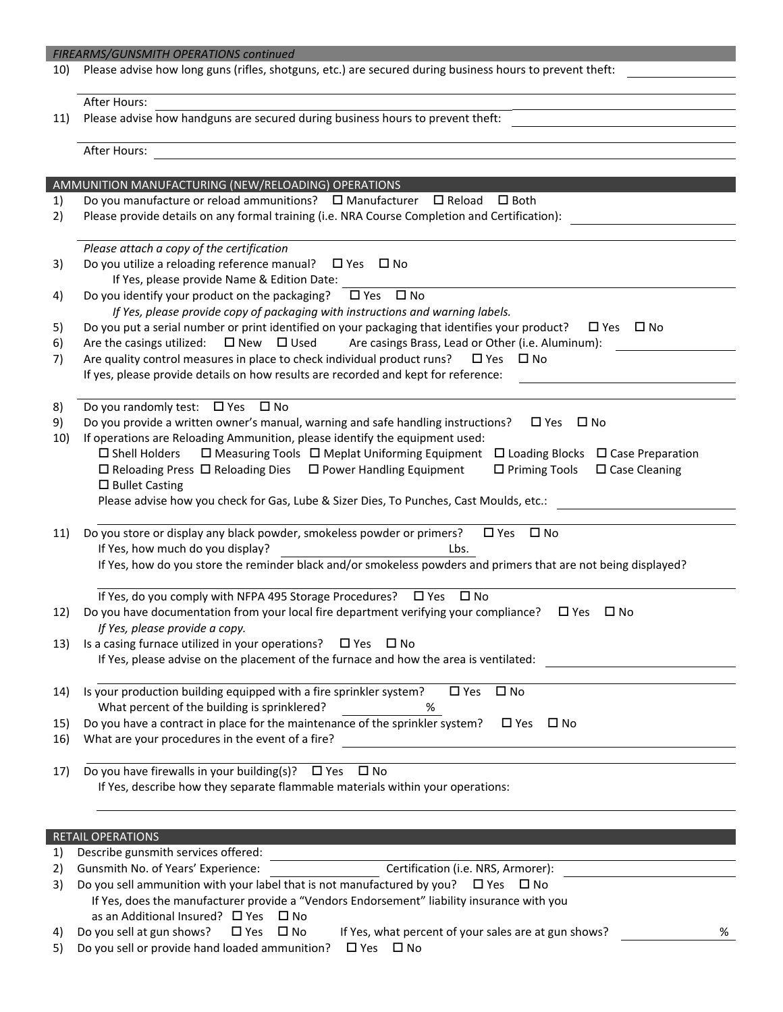### *FIREARMS/GUNSMITH OPERATIONS continued*

10) Please advise how long guns (rifles, shotguns, etc.) are secured during business hours to prevent theft:

After Hours:

11) Please advise how handguns are secured during business hours to prevent theft:

After Hours:

|     | AMMUNITION MANUFACTURING (NEW/RELOADING) OPERATIONS                                                                                           |
|-----|-----------------------------------------------------------------------------------------------------------------------------------------------|
| 1)  | Do you manufacture or reload ammunitions? $\Box$ Manufacturer<br>$\square$ Reload<br>$\square$ Both                                           |
| 2)  | Please provide details on any formal training (i.e. NRA Course Completion and Certification):                                                 |
|     | Please attach a copy of the certification                                                                                                     |
| 3)  | Do you utilize a reloading reference manual?<br>□ Yes □ No                                                                                    |
|     | If Yes, please provide Name & Edition Date:                                                                                                   |
| 4)  | Do you identify your product on the packaging?<br>$\square$ Yes<br>$\square$ No                                                               |
|     | If Yes, please provide copy of packaging with instructions and warning labels.                                                                |
| 5)  | Do you put a serial number or print identified on your packaging that identifies your product?<br>$\square$ Yes<br>$\square$ No               |
| 6)  | Are the casings utilized:<br>$\Box$ New $\Box$ Used<br>Are casings Brass, Lead or Other (i.e. Aluminum):                                      |
| 7)  | Are quality control measures in place to check individual product runs?<br>$\square$ Yes<br>$\square$ No                                      |
|     | If yes, please provide details on how results are recorded and kept for reference:                                                            |
| 8)  | Do you randomly test: $\Box$ Yes $\Box$ No                                                                                                    |
| 9)  | Do you provide a written owner's manual, warning and safe handling instructions?<br>$\square$ Yes<br>$\square$ No                             |
| 10) | If operations are Reloading Ammunition, please identify the equipment used:                                                                   |
|     | $\Box$ Measuring Tools $\Box$ Meplat Uniforming Equipment $\Box$ Loading Blocks $\Box$ Case Preparation<br>$\Box$ Shell Holders               |
|     | $\Box$ Priming Tools<br>$\Box$ Reloading Press $\Box$ Reloading Dies $\Box$ Power Handling Equipment<br>$\square$ Case Cleaning               |
|     | $\square$ Bullet Casting                                                                                                                      |
|     | Please advise how you check for Gas, Lube & Sizer Dies, To Punches, Cast Moulds, etc.:                                                        |
|     |                                                                                                                                               |
| 11) | Do you store or display any black powder, smokeless powder or primers?<br>$\square$ Yes<br>$\square$ No                                       |
|     | If Yes, how much do you display?<br>Lbs.                                                                                                      |
|     | If Yes, how do you store the reminder black and/or smokeless powders and primers that are not being displayed?                                |
|     |                                                                                                                                               |
|     | If Yes, do you comply with NFPA 495 Storage Procedures?<br>$\square$ Yes<br>⊟ No                                                              |
| 12) | Do you have documentation from your local fire department verifying your compliance?<br>$\Box$ Yes<br>$\square$ No                            |
|     | If Yes, please provide a copy.                                                                                                                |
| 13) | Is a casing furnace utilized in your operations?<br>$\Box$ Yes $\Box$ No                                                                      |
|     | If Yes, please advise on the placement of the furnace and how the area is ventilated:                                                         |
| 14) | Is your production building equipped with a fire sprinkler system?<br>$\square$ No<br>$\square$ Yes                                           |
|     | What percent of the building is sprinklered?<br>%                                                                                             |
| 15) | Do you have a contract in place for the maintenance of the sprinkler system?<br>$\Box$ Yes<br>$\square$ No                                    |
| 16) | What are your procedures in the event of a fire?                                                                                              |
|     |                                                                                                                                               |
| 17) | Do you have firewalls in your building(s)? $\square$ Yes<br>$\square$ No                                                                      |
|     | If Yes, describe how they separate flammable materials within your operations:                                                                |
|     |                                                                                                                                               |
|     |                                                                                                                                               |
|     | <b>RETAIL OPERATIONS</b>                                                                                                                      |
| 1)  | Describe gunsmith services offered:                                                                                                           |
| 2)  | Certification (i.e. NRS, Armorer):<br>Gunsmith No. of Years' Experience:                                                                      |
| 3)  | Do you sell ammunition with your label that is not manufactured by you?<br>□ Yes □ No                                                         |
|     | If Yes, does the manufacturer provide a "Vendors Endorsement" liability insurance with you<br>as an Additional Insured? □ Yes<br>$\square$ No |
| 4)  | Do you sell at gun shows?<br>$\square$ Yes<br>$\square$ No<br>If Yes, what percent of your sales are at gun shows?<br>%                       |
| 5)  | Do you sell or provide hand loaded ammunition?<br>$\square$ Yes<br>$\square$ No                                                               |
|     |                                                                                                                                               |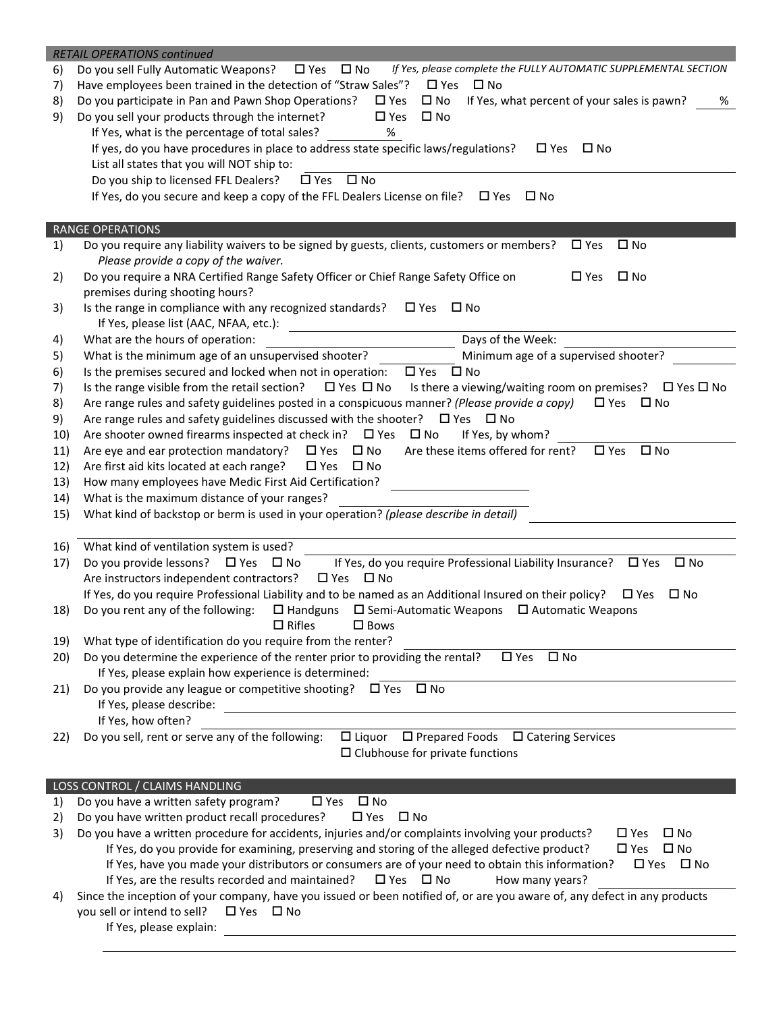|     | <b>RETAIL OPERATIONS continued</b>                                                                                                       |
|-----|------------------------------------------------------------------------------------------------------------------------------------------|
| 6)  | If Yes, please complete the FULLY AUTOMATIC SUPPLEMENTAL SECTION<br>Do you sell Fully Automatic Weapons?<br>$\Box$ Yes $\Box$ No         |
| 7)  | Have employees been trained in the detection of "Straw Sales"?<br>$\square$ Yes<br>$\square$ No                                          |
| 8)  | Do you participate in Pan and Pawn Shop Operations?<br>$\square$ Yes<br>$\square$ No<br>If Yes, what percent of your sales is pawn?<br>% |
| 9)  | Do you sell your products through the internet?<br>$\square$ Yes<br>$\square$ No                                                         |
|     | If Yes, what is the percentage of total sales?<br>%                                                                                      |
|     | If yes, do you have procedures in place to address state specific laws/regulations?<br>$\square$ Yes<br>$\square$ No                     |
|     | List all states that you will NOT ship to:                                                                                               |
|     | Do you ship to licensed FFL Dealers?<br>$\square$ Yes<br>$\square$ No                                                                    |
|     | If Yes, do you secure and keep a copy of the FFL Dealers License on file?<br>$\Box$ Yes<br>∐ No                                          |
|     |                                                                                                                                          |
|     |                                                                                                                                          |
|     | <b>RANGE OPERATIONS</b>                                                                                                                  |
| 1)  | Do you require any liability waivers to be signed by guests, clients, customers or members?<br>$\square$ Yes<br>$\square$ No             |
|     | Please provide a copy of the waiver.                                                                                                     |
| 2)  | Do you require a NRA Certified Range Safety Officer or Chief Range Safety Office on<br>$\square$ Yes<br>$\square$ No                     |
|     | premises during shooting hours?                                                                                                          |
| 3)  | Is the range in compliance with any recognized standards?<br>$\Box$ Yes<br>$\square$ No                                                  |
|     | If Yes, please list (AAC, NFAA, etc.):                                                                                                   |
| 4)  | Days of the Week:<br>What are the hours of operation:                                                                                    |
| 5)  | What is the minimum age of an unsupervised shooter?<br>Minimum age of a supervised shooter?                                              |
| 6)  | Is the premises secured and locked when not in operation:<br>$\Box$ Yes $\Box$ No                                                        |
| 7)  | Is the range visible from the retail section?<br>□ Yes □ No<br>Is there a viewing/waiting room on premises? $\Box$ Yes $\Box$ No         |
| 8)  | Are range rules and safety guidelines posted in a conspicuous manner? (Please provide a copy)<br>$\Box$ Yes $\Box$ No                    |
| 9)  | Are range rules and safety guidelines discussed with the shooter? $\Box$ Yes $\Box$ No                                                   |
| 10) | Are shooter owned firearms inspected at check in? $\Box$ Yes $\Box$ No<br>If Yes, by whom?                                               |
| 11) | Are these items offered for rent?<br>Are eye and ear protection mandatory? $\Box$ Yes $\Box$ No<br>$\square$ Yes<br>$\square$ No         |
| 12) | Are first aid kits located at each range?<br>$\Box$ Yes $\Box$ No                                                                        |
| 13) | How many employees have Medic First Aid Certification?                                                                                   |
| 14) | What is the maximum distance of your ranges?                                                                                             |
| 15) | What kind of backstop or berm is used in your operation? (please describe in detail)                                                     |
|     |                                                                                                                                          |
| 16) | What kind of ventilation system is used?                                                                                                 |
| 17) | Do you provide lessons? $\Box$ Yes $\Box$ No<br>If Yes, do you require Professional Liability Insurance? $\Box$ Yes<br>$\square$ No      |
|     | Are instructors independent contractors?<br>$\Box$ Yes $\Box$ No                                                                         |
|     | If Yes, do you require Professional Liability and to be named as an Additional Insured on their policy?<br>$\square$ Yes<br>$\square$ No |
| 18) | Do you rent any of the following:<br>$\Box$ Handguns $\Box$ Semi-Automatic Weapons $\Box$ Automatic Weapons                              |
|     | $\square$ Rifles<br>$\square$ Bows                                                                                                       |
| 19) | What type of identification do you require from the renter?                                                                              |
| 20) | Do you determine the experience of the renter prior to providing the rental?<br>$\square$ Yes<br>$\square$ No                            |
|     | If Yes, please explain how experience is determined:                                                                                     |
| 21) | Do you provide any league or competitive shooting? $\Box$ Yes $\Box$ No                                                                  |
|     | If Yes, please describe:                                                                                                                 |
|     | If Yes, how often?                                                                                                                       |
| 22) | $\Box$ Liquor $\Box$ Prepared Foods $\Box$ Catering Services<br>Do you sell, rent or serve any of the following:                         |
|     | $\square$ Clubhouse for private functions                                                                                                |
|     |                                                                                                                                          |
|     |                                                                                                                                          |
|     | LOSS CONTROL / CLAIMS HANDLING                                                                                                           |
| 1)  | Do you have a written safety program?<br>$\square$ No<br>$\square$ Yes                                                                   |
| 2)  | Do you have written product recall procedures?<br>$\square$ Yes<br>$\square$ No                                                          |
| 3)  | Do you have a written procedure for accidents, injuries and/or complaints involving your products?<br>$\square$ Yes<br>$\square$ No      |
|     | If Yes, do you provide for examining, preserving and storing of the alleged defective product?<br>$\square$ Yes<br>$\square$ No          |
|     | If Yes, have you made your distributors or consumers are of your need to obtain this information?<br>□ No<br>$\square$ Yes               |
|     | If Yes, are the results recorded and maintained?<br>$\Box$ Yes $\Box$ No<br>How many years?                                              |
| 4)  | Since the inception of your company, have you issued or been notified of, or are you aware of, any defect in any products                |
|     | you sell or intend to sell?<br>$\Box$ Yes $\Box$ No                                                                                      |
|     | If Yes, please explain:                                                                                                                  |
|     |                                                                                                                                          |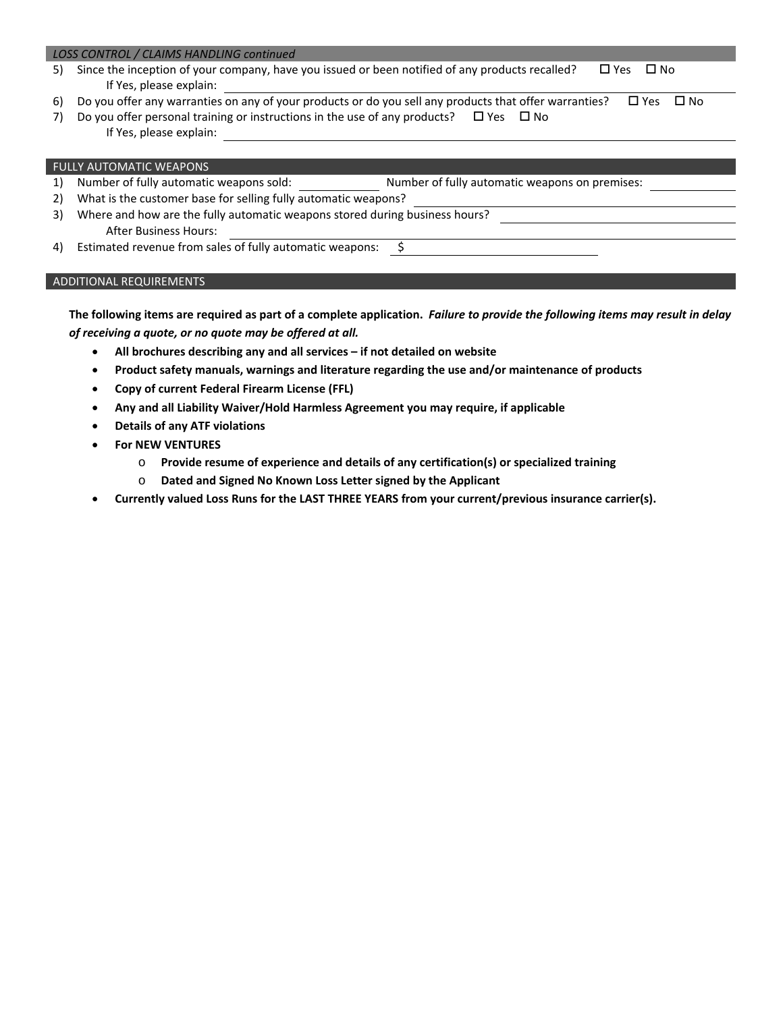#### *LOSS CONTROL / CLAIMS HANDLING continued*

- 5) Since the inception of your company, have you issued or been notified of any products recalled?  $\Box$  Yes  $\Box$  No If Yes, please explain:
- 6) Do you offer any warranties on any of your products or do you sell any products that offer warranties?  $\Box$  Yes  $\Box$  No
- 7) Do you offer personal training or instructions in the use of any products?  $\Box$  Yes  $\Box$  No If Yes, please explain:

#### FULLY AUTOMATIC WEAPONS

- 1) Number of fully automatic weapons sold: Number of fully automatic weapons on premises:
- 2) What is the customer base for selling fully automatic weapons?
- 3) Where and how are the fully automatic weapons stored during business hours? After Business Hours:
- 4) Estimated revenue from sales of fully automatic weapons: \$

### ADDITIONAL REQUIREMENTS

The following items are required as part of a complete application. Failure to provide the following items may result in delay *of receiving a quote, or no quote may be offered at all.*

- **All brochures describing any and all services – if not detailed on website**
- **Product safety manuals, warnings and literature regarding the use and/or maintenance of products**
- **Copy of current Federal Firearm License (FFL)**
- **Any and all Liability Waiver/Hold Harmless Agreement you may require, if applicable**
- **Details of any ATF violations**
- **For NEW VENTURES** 
	- o **Provide resume of experience and details of any certification(s) or specialized training**
	- o **Dated and Signed No Known Loss Letter signed by the Applicant**
- **Currently valued Loss Runs for the LAST THREE YEARS from your current/previous insurance carrier(s).**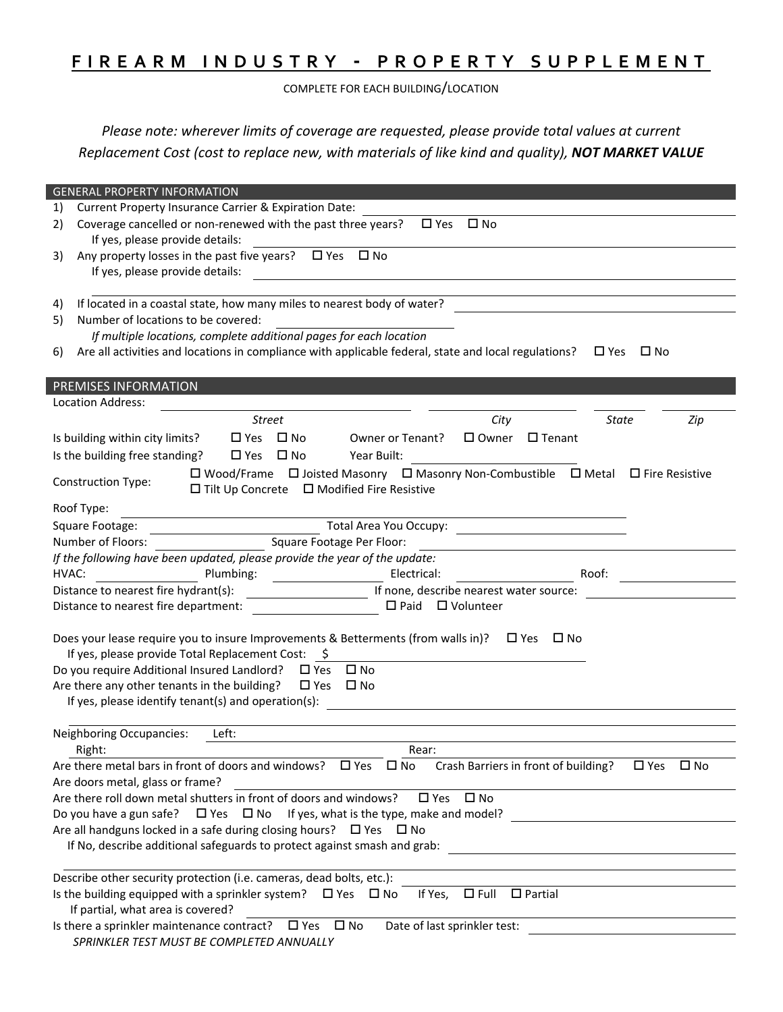# **FIREARM INDUSTRY ‐ PROPERTY SUPPLEMENT**

COMPLETE FOR EACH BUILDING/LOCATION

*Please note: wherever limits of coverage are requested, please provide total values at current Replacement Cost (cost to replace new, with materials of like kind and quality), NOT MARKET VALUE*

| <b>GENERAL PROPERTY INFORMATION</b>                                                                                                                                                                                                                                               |  |  |  |  |  |
|-----------------------------------------------------------------------------------------------------------------------------------------------------------------------------------------------------------------------------------------------------------------------------------|--|--|--|--|--|
| Current Property Insurance Carrier & Expiration Date:<br>1)                                                                                                                                                                                                                       |  |  |  |  |  |
| Coverage cancelled or non-renewed with the past three years?<br>2)<br>$\square$ Yes<br>$\square$ No<br>If yes, please provide details:                                                                                                                                            |  |  |  |  |  |
| Any property losses in the past five years? $\Box$ Yes $\Box$ No<br>3)                                                                                                                                                                                                            |  |  |  |  |  |
| If yes, please provide details:<br><u> 1980 - Jan Samuel Barbara, margaret e populazion del control del control del control del control de la control</u>                                                                                                                         |  |  |  |  |  |
|                                                                                                                                                                                                                                                                                   |  |  |  |  |  |
| If located in a coastal state, how many miles to nearest body of water?<br>4)                                                                                                                                                                                                     |  |  |  |  |  |
| Number of locations to be covered:<br>5)                                                                                                                                                                                                                                          |  |  |  |  |  |
| If multiple locations, complete additional pages for each location                                                                                                                                                                                                                |  |  |  |  |  |
| Are all activities and locations in compliance with applicable federal, state and local regulations? $\Box$ Yes<br>$\square$ No<br>6)                                                                                                                                             |  |  |  |  |  |
|                                                                                                                                                                                                                                                                                   |  |  |  |  |  |
| PREMISES INFORMATION                                                                                                                                                                                                                                                              |  |  |  |  |  |
| Location Address:                                                                                                                                                                                                                                                                 |  |  |  |  |  |
| <b>State</b><br><b>Street</b><br>City<br>Zip                                                                                                                                                                                                                                      |  |  |  |  |  |
| $\square$ No<br>$\square$ Owner<br>Is building within city limits?<br>$\square$ Yes<br>Owner or Tenant?<br>$\Box$ Tenant                                                                                                                                                          |  |  |  |  |  |
| Is the building free standing?<br>$\square$ No<br>Year Built:<br>$\square$ Yes                                                                                                                                                                                                    |  |  |  |  |  |
| □ Wood/Frame □ Joisted Masonry □ Masonry Non-Combustible □ Metal □ Fire Resistive<br><b>Construction Type:</b><br>$\Box$ Tilt Up Concrete $\Box$ Modified Fire Resistive                                                                                                          |  |  |  |  |  |
| Roof Type:                                                                                                                                                                                                                                                                        |  |  |  |  |  |
| Square Footage:<br>Total Area You Occupy:<br><u>and the state of the state of the state of the state of the state of the state of the state of the state of the state of the state of the state of the state of the state of the state of the state of the state of the state</u> |  |  |  |  |  |
| Square Footage Per Floor:<br>Number of Floors:                                                                                                                                                                                                                                    |  |  |  |  |  |
| If the following have been updated, please provide the year of the update:                                                                                                                                                                                                        |  |  |  |  |  |
| HVAC:<br>Plumbing:<br>Electrical:<br>Roof:                                                                                                                                                                                                                                        |  |  |  |  |  |
| If none, describe nearest water source:<br>Distance to nearest fire hydrant(s):                                                                                                                                                                                                   |  |  |  |  |  |
| $\Box$ Paid $\Box$ Volunteer<br>Distance to nearest fire department:                                                                                                                                                                                                              |  |  |  |  |  |
| Does your lease require you to insure Improvements & Betterments (from walls in)? $\square$ Yes $\square$ No<br>If yes, please provide Total Replacement Cost: \$<br>Do you require Additional Insured Landlord? $\square$ Yes $\square$ No                                       |  |  |  |  |  |
| Are there any other tenants in the building? $\Box$ Yes $\Box$ No<br>If yes, please identify tenant(s) and operation(s):                                                                                                                                                          |  |  |  |  |  |
|                                                                                                                                                                                                                                                                                   |  |  |  |  |  |
| <b>Neighboring Occupancies:</b><br>Left:                                                                                                                                                                                                                                          |  |  |  |  |  |
| Right:<br>Rear:                                                                                                                                                                                                                                                                   |  |  |  |  |  |
| Are there metal bars in front of doors and windows? $\Box$ Yes $\Box$ No<br>Crash Barriers in front of building?<br>$\square$ Yes<br>⊟ No                                                                                                                                         |  |  |  |  |  |
| Are doors metal, glass or frame?<br>Are there roll down metal shutters in front of doors and windows?<br>$\square$ Yes<br>$\square$ No                                                                                                                                            |  |  |  |  |  |
| Do you have a gun safe? $\Box$ Yes $\Box$ No If yes, what is the type, make and model?                                                                                                                                                                                            |  |  |  |  |  |
| Are all handguns locked in a safe during closing hours? $\Box$ Yes $\Box$ No                                                                                                                                                                                                      |  |  |  |  |  |
| If No, describe additional safeguards to protect against smash and grab:                                                                                                                                                                                                          |  |  |  |  |  |
| Describe other security protection (i.e. cameras, dead bolts, etc.):                                                                                                                                                                                                              |  |  |  |  |  |
| $\Box$ Partial<br>Is the building equipped with a sprinkler system? $\Box$ Yes $\Box$ No<br>$\Box$ Full<br>If Yes,                                                                                                                                                                |  |  |  |  |  |
| If partial, what area is covered?<br>Date of last sprinkler test:                                                                                                                                                                                                                 |  |  |  |  |  |
| Is there a sprinkler maintenance contract? $\Box$ Yes $\Box$ No<br>SPRINKLER TEST MUST BE COMPLETED ANNUALLY                                                                                                                                                                      |  |  |  |  |  |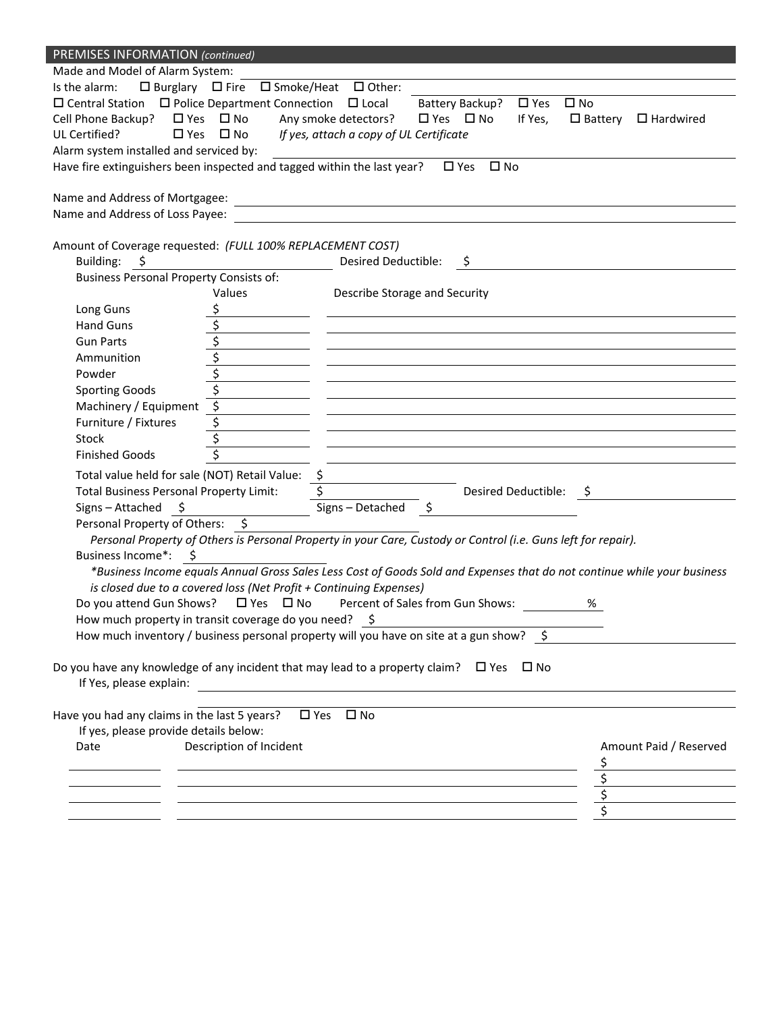| <b>PREMISES INFORMATION (continued)</b>                                                                                  |                                                                                                                                   |                                                                                                                       |                                                                                                                  |                        |                                |                                 |  |
|--------------------------------------------------------------------------------------------------------------------------|-----------------------------------------------------------------------------------------------------------------------------------|-----------------------------------------------------------------------------------------------------------------------|------------------------------------------------------------------------------------------------------------------|------------------------|--------------------------------|---------------------------------|--|
| Made and Model of Alarm System:                                                                                          |                                                                                                                                   |                                                                                                                       |                                                                                                                  |                        |                                |                                 |  |
| Is the alarm: $\Box$ Burglary $\Box$ Fire $\Box$ Smoke/Heat $\Box$ Other:                                                |                                                                                                                                   |                                                                                                                       |                                                                                                                  |                        |                                |                                 |  |
|                                                                                                                          | $\square$ Central Station $\square$ Police Department Connection $\square$ Local Battery Backup?<br>$\square$ Yes<br>$\square$ No |                                                                                                                       |                                                                                                                  |                        |                                |                                 |  |
| Cell Phone Backup? □ Yes □ No                                                                                            |                                                                                                                                   | Any smoke detectors?                                                                                                  | $\Box$ Yes $\Box$ No                                                                                             | If Yes,                |                                | $\Box$ Battery $\Box$ Hardwired |  |
| UL Certified?                                                                                                            |                                                                                                                                   | $\Box$ Yes $\Box$ No If yes, attach a copy of UL Certificate                                                          |                                                                                                                  |                        |                                |                                 |  |
| Alarm system installed and serviced by:                                                                                  |                                                                                                                                   |                                                                                                                       |                                                                                                                  |                        |                                |                                 |  |
| Have fire extinguishers been inspected and tagged within the last year? $\Box$ Yes $\Box$ No                             |                                                                                                                                   |                                                                                                                       |                                                                                                                  |                        |                                |                                 |  |
|                                                                                                                          |                                                                                                                                   |                                                                                                                       |                                                                                                                  |                        |                                |                                 |  |
| Name and Address of Mortgagee:                                                                                           |                                                                                                                                   |                                                                                                                       |                                                                                                                  |                        |                                |                                 |  |
| Name and Address of Loss Payee:                                                                                          |                                                                                                                                   | <u> 1989 - Johann Barn, mars ann an t-Amhain an t-Amhain an t-Amhain an t-Amhain an t-Amhain an t-Amhain an t-Amh</u> |                                                                                                                  |                        |                                |                                 |  |
|                                                                                                                          |                                                                                                                                   |                                                                                                                       |                                                                                                                  |                        |                                |                                 |  |
| Amount of Coverage requested: (FULL 100% REPLACEMENT COST)                                                               |                                                                                                                                   |                                                                                                                       |                                                                                                                  |                        |                                |                                 |  |
| Building: \$                                                                                                             |                                                                                                                                   | Desired Deductible:                                                                                                   | \$.                                                                                                              |                        |                                |                                 |  |
| <b>Business Personal Property Consists of:</b>                                                                           |                                                                                                                                   |                                                                                                                       |                                                                                                                  |                        |                                |                                 |  |
|                                                                                                                          | Values                                                                                                                            | Describe Storage and Security                                                                                         |                                                                                                                  |                        |                                |                                 |  |
| Long Guns                                                                                                                | <u>\$</u>                                                                                                                         |                                                                                                                       |                                                                                                                  |                        |                                |                                 |  |
| <b>Hand Guns</b>                                                                                                         |                                                                                                                                   |                                                                                                                       |                                                                                                                  |                        |                                |                                 |  |
| <b>Gun Parts</b>                                                                                                         |                                                                                                                                   |                                                                                                                       |                                                                                                                  |                        |                                |                                 |  |
|                                                                                                                          |                                                                                                                                   |                                                                                                                       |                                                                                                                  |                        |                                |                                 |  |
| Ammunition                                                                                                               | $\frac{\frac{1}{2}}{\frac{1}{2}}$                                                                                                 |                                                                                                                       |                                                                                                                  |                        |                                |                                 |  |
| Powder                                                                                                                   |                                                                                                                                   |                                                                                                                       |                                                                                                                  |                        |                                |                                 |  |
| <b>Sporting Goods</b>                                                                                                    |                                                                                                                                   |                                                                                                                       |                                                                                                                  |                        |                                |                                 |  |
| Machinery / Equipment                                                                                                    | $\frac{1}{2}$                                                                                                                     |                                                                                                                       | and the control of the control of the control of the control of the control of the control of the control of the |                        |                                |                                 |  |
| Furniture / Fixtures                                                                                                     | $\overline{\xi}$                                                                                                                  |                                                                                                                       |                                                                                                                  |                        |                                |                                 |  |
| Stock                                                                                                                    | \$                                                                                                                                |                                                                                                                       |                                                                                                                  |                        |                                |                                 |  |
| <b>Finished Goods</b>                                                                                                    | $\overline{\mathcal{S}}$                                                                                                          |                                                                                                                       |                                                                                                                  |                        |                                |                                 |  |
| Total value held for sale (NOT) Retail Value: \$                                                                         |                                                                                                                                   |                                                                                                                       |                                                                                                                  |                        |                                |                                 |  |
| Total Business Personal Property Limit:                                                                                  |                                                                                                                                   |                                                                                                                       |                                                                                                                  | Desired Deductible: \$ |                                |                                 |  |
| $Signs - Attached$ \$                                                                                                    |                                                                                                                                   | Signs – Detached $\frac{1}{2}$                                                                                        |                                                                                                                  |                        |                                |                                 |  |
| Personal Property of Others: \$                                                                                          |                                                                                                                                   |                                                                                                                       |                                                                                                                  |                        |                                |                                 |  |
| Personal Property of Others is Personal Property in your Care, Custody or Control (i.e. Guns left for repair).           |                                                                                                                                   |                                                                                                                       |                                                                                                                  |                        |                                |                                 |  |
| Business Income*: \$                                                                                                     |                                                                                                                                   |                                                                                                                       |                                                                                                                  |                        |                                |                                 |  |
| *Business Income equals Annual Gross Sales Less Cost of Goods Sold and Expenses that do not continue while your business |                                                                                                                                   |                                                                                                                       |                                                                                                                  |                        |                                |                                 |  |
| is closed due to a covered loss (Net Profit + Continuing Expenses)                                                       |                                                                                                                                   |                                                                                                                       |                                                                                                                  |                        |                                |                                 |  |
| Do you attend Gun Shows? □ Yes □ No Percent of Sales from Gun Shows:                                                     |                                                                                                                                   |                                                                                                                       |                                                                                                                  |                        | %                              |                                 |  |
| How much property in transit coverage do you need? \$                                                                    |                                                                                                                                   |                                                                                                                       |                                                                                                                  |                        |                                |                                 |  |
| How much inventory / business personal property will you have on site at a gun show? \$                                  |                                                                                                                                   |                                                                                                                       |                                                                                                                  |                        |                                |                                 |  |
|                                                                                                                          |                                                                                                                                   |                                                                                                                       |                                                                                                                  |                        |                                |                                 |  |
| Do you have any knowledge of any incident that may lead to a property claim? $\Box$ Yes $\Box$ No                        |                                                                                                                                   |                                                                                                                       |                                                                                                                  |                        |                                |                                 |  |
| If Yes, please explain:                                                                                                  |                                                                                                                                   |                                                                                                                       |                                                                                                                  |                        |                                |                                 |  |
|                                                                                                                          |                                                                                                                                   |                                                                                                                       |                                                                                                                  |                        |                                |                                 |  |
|                                                                                                                          |                                                                                                                                   |                                                                                                                       |                                                                                                                  |                        |                                |                                 |  |
| Have you had any claims in the last 5 years? $\Box$ Yes $\Box$ No                                                        |                                                                                                                                   |                                                                                                                       |                                                                                                                  |                        |                                |                                 |  |
| If yes, please provide details below:                                                                                    |                                                                                                                                   |                                                                                                                       |                                                                                                                  |                        |                                |                                 |  |
| Date                                                                                                                     | Description of Incident                                                                                                           |                                                                                                                       |                                                                                                                  |                        |                                | Amount Paid / Reserved          |  |
|                                                                                                                          |                                                                                                                                   | and the control of the control of the control of the control of the control of the control of the control of the      |                                                                                                                  |                        |                                |                                 |  |
|                                                                                                                          |                                                                                                                                   | <u> 1980 - Andrea Stadt Britain, amerikansk politik (* 1950)</u>                                                      |                                                                                                                  |                        | \$                             |                                 |  |
|                                                                                                                          |                                                                                                                                   |                                                                                                                       |                                                                                                                  |                        |                                |                                 |  |
|                                                                                                                          |                                                                                                                                   |                                                                                                                       |                                                                                                                  |                        |                                |                                 |  |
|                                                                                                                          |                                                                                                                                   |                                                                                                                       |                                                                                                                  |                        | $\overline{\mathcal{L}}$<br>\$ |                                 |  |
|                                                                                                                          |                                                                                                                                   |                                                                                                                       |                                                                                                                  |                        |                                |                                 |  |